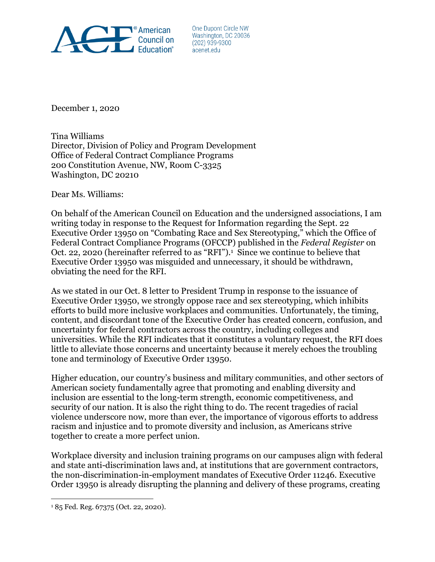

One Dupont Circle NW Washington, DC 20036  $(202)$  939-9300 acenet.edu

December 1, 2020

Tina Williams Director, Division of Policy and Program Development Office of Federal Contract Compliance Programs 200 Constitution Avenue, NW, Room C-3325 Washington, DC 20210

Dear Ms. Williams:

On behalf of the American Council on Education and the undersigned associations, I am writing today in response to the Request for Information regarding the Sept. 22 Executive Order 13950 on "Combating Race and Sex Stereotyping," which the Office of Federal Contract Compliance Programs (OFCCP) published in the *Federal Register* on Oct. 22, 2020 (hereinafter referred to as "RFI").<sup>1</sup> Since we continue to believe that Executive Order 13950 was misguided and unnecessary, it should be withdrawn, obviating the need for the RFI.

As we stated in our Oct. 8 letter to President Trump in response to the issuance of Executive Order 13950, we strongly oppose race and sex stereotyping, which inhibits efforts to build more inclusive workplaces and communities. Unfortunately, the timing, content, and discordant tone of the Executive Order has created concern, confusion, and uncertainty for federal contractors across the country, including colleges and universities. While the RFI indicates that it constitutes a voluntary request, the RFI does little to alleviate those concerns and uncertainty because it merely echoes the troubling tone and terminology of Executive Order 13950.

Higher education, our country's business and military communities, and other sectors of American society fundamentally agree that promoting and enabling diversity and inclusion are essential to the long-term strength, economic competitiveness, and security of our nation. It is also the right thing to do. The recent tragedies of racial violence underscore now, more than ever, the importance of vigorous efforts to address racism and injustice and to promote diversity and inclusion, as Americans strive together to create a more perfect union.

Workplace diversity and inclusion training programs on our campuses align with federal and state anti-discrimination laws and, at institutions that are government contractors, the non-discrimination-in-employment mandates of Executive Order 11246. Executive Order 13950 is already disrupting the planning and delivery of these programs, creating

 $\overline{a}$ 

<sup>1</sup> 85 Fed. Reg. 67375 (Oct. 22, 2020).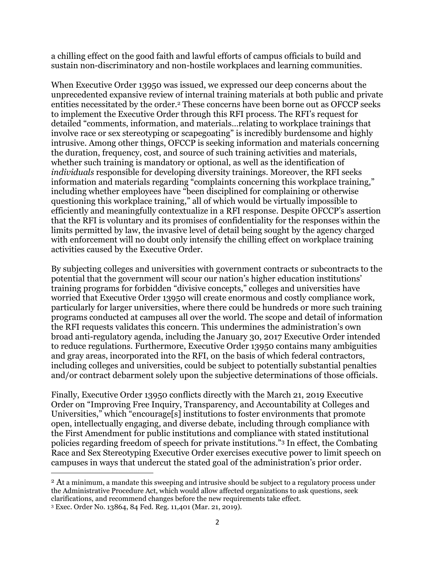a chilling effect on the good faith and lawful efforts of campus officials to build and sustain non-discriminatory and non-hostile workplaces and learning communities.

When Executive Order 13950 was issued, we expressed our deep concerns about the unprecedented expansive review of internal training materials at both public and private entities necessitated by the order.<sup>2</sup> These concerns have been borne out as OFCCP seeks to implement the Executive Order through this RFI process. The RFI's request for detailed "comments, information, and materials…relating to workplace trainings that involve race or sex stereotyping or scapegoating" is incredibly burdensome and highly intrusive. Among other things, OFCCP is seeking information and materials concerning the duration, frequency, cost, and source of such training activities and materials, whether such training is mandatory or optional, as well as the identification of *individuals* responsible for developing diversity trainings. Moreover, the RFI seeks information and materials regarding "complaints concerning this workplace training," including whether employees have "been disciplined for complaining or otherwise questioning this workplace training," all of which would be virtually impossible to efficiently and meaningfully contextualize in a RFI response. Despite OFCCP's assertion that the RFI is voluntary and its promises of confidentiality for the responses within the limits permitted by law, the invasive level of detail being sought by the agency charged with enforcement will no doubt only intensify the chilling effect on workplace training activities caused by the Executive Order.

By subjecting colleges and universities with government contracts or subcontracts to the potential that the government will scour our nation's higher education institutions' training programs for forbidden "divisive concepts," colleges and universities have worried that Executive Order 13950 will create enormous and costly compliance work, particularly for larger universities, where there could be hundreds or more such training programs conducted at campuses all over the world. The scope and detail of information the RFI requests validates this concern. This undermines the administration's own broad anti-regulatory agenda, including the January 30, 2017 Executive Order intended to reduce regulations. Furthermore, Executive Order 13950 contains many ambiguities and gray areas, incorporated into the RFI, on the basis of which federal contractors, including colleges and universities, could be subject to potentially substantial penalties and/or contract debarment solely upon the subjective determinations of those officials.

Finally, Executive Order 13950 conflicts directly with the March 21, 2019 Executive Order on "Improving Free Inquiry, Transparency, and Accountability at Colleges and Universities," which "encourage[s] institutions to foster environments that promote open, intellectually engaging, and diverse debate, including through compliance with the First Amendment for public institutions and compliance with stated institutional policies regarding freedom of speech for private institutions."<sup>3</sup> In effect, the Combating Race and Sex Stereotyping Executive Order exercises executive power to limit speech on campuses in ways that undercut the stated goal of the administration's prior order.

 $\overline{a}$ 

<sup>&</sup>lt;sup>2</sup> At a minimum, a mandate this sweeping and intrusive should be subject to a regulatory process under the Administrative Procedure Act, which would allow affected organizations to ask questions, seek clarifications, and recommend changes before the new requirements take effect.

<sup>3</sup> Exec. Order No. 13864, 84 Fed. Reg. 11,401 (Mar. 21, 2019).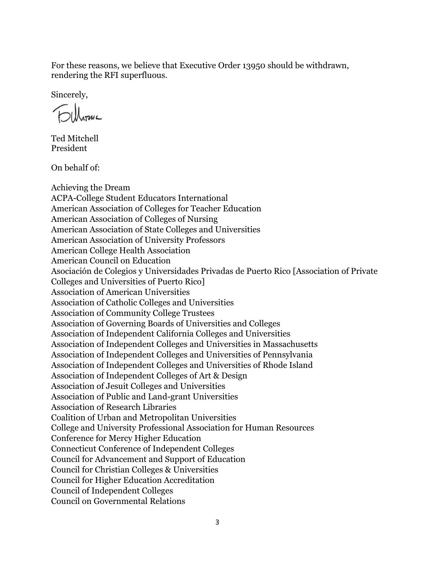For these reasons, we believe that Executive Order 13950 should be withdrawn, rendering the RFI superfluous.

Sincerely,

Ted Mitchell President

On behalf of:

Achieving the Dream ACPA-College Student Educators International American Association of Colleges for Teacher Education American Association of Colleges of Nursing American Association of State Colleges and Universities American Association of University Professors American College Health Association American Council on Education Asociación de Colegios y Universidades Privadas de Puerto Rico [Association of Private Colleges and Universities of Puerto Rico] Association of American Universities Association of Catholic Colleges and Universities Association of Community College Trustees Association of Governing Boards of Universities and Colleges Association of Independent California Colleges and Universities Association of Independent Colleges and Universities in Massachusetts Association of Independent Colleges and Universities of Pennsylvania Association of Independent Colleges and Universities of Rhode Island Association of Independent Colleges of Art & Design Association of Jesuit Colleges and Universities Association of Public and Land-grant Universities Association of Research Libraries Coalition of Urban and Metropolitan Universities College and University Professional Association for Human Resources Conference for Mercy Higher Education Connecticut Conference of Independent Colleges Council for Advancement and Support of Education Council for Christian Colleges & Universities Council for Higher Education Accreditation Council of Independent Colleges Council on Governmental Relations